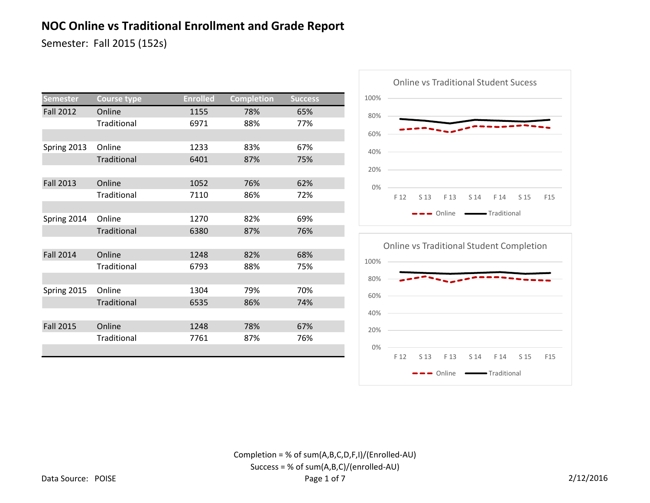Semester: Fall 2015 (152s)

| Semester         | <b>Course type</b> | <b>Enrolled</b> | <b>Completion</b> | <b>Success</b> |  |
|------------------|--------------------|-----------------|-------------------|----------------|--|
| <b>Fall 2012</b> | Online             | 1155            | 78%               | 65%            |  |
|                  | Traditional        | 6971            | 88%               | 77%            |  |
|                  |                    |                 |                   |                |  |
| Spring 2013      | Online             | 1233            | 83%               | 67%            |  |
|                  | Traditional        | 6401            | 87%               | 75%            |  |
|                  |                    |                 |                   |                |  |
| <b>Fall 2013</b> | Online             | 1052            | 76%               | 62%            |  |
|                  | Traditional        | 7110            | 86%               | 72%            |  |
|                  |                    |                 |                   |                |  |
| Spring 2014      | Online             | 1270            | 82%               | 69%            |  |
|                  | Traditional        | 6380            | 87%               | 76%            |  |
|                  |                    |                 |                   |                |  |
| <b>Fall 2014</b> | Online             | 1248            | 82%               | 68%            |  |
|                  | Traditional        | 6793            | 88%               | 75%            |  |
|                  |                    |                 |                   |                |  |
| Spring 2015      | Online             | 1304            | 79%               | 70%            |  |
|                  | Traditional        | 6535            | 86%               | 74%            |  |
|                  |                    |                 |                   |                |  |
| <b>Fall 2015</b> | Online             | 1248            | 78%               | 67%            |  |
|                  | <b>Traditional</b> | 7761            | 87%               | 76%            |  |
|                  |                    |                 |                   |                |  |



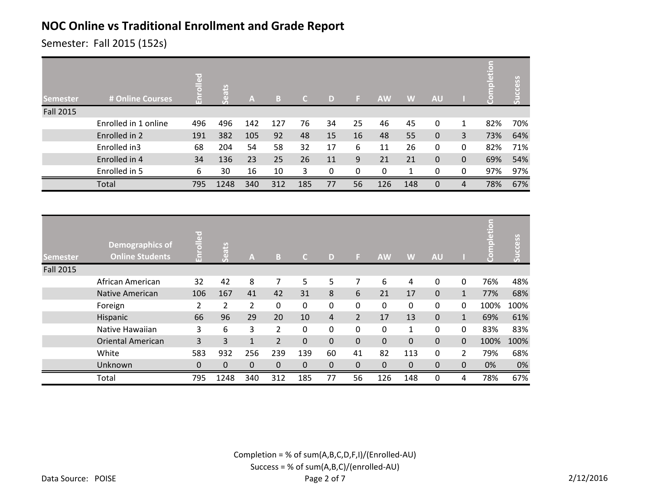Semester: Fall 2015 (152s)

| <b>Semester</b>  | # Online Courses     | $\overline{e}$ d<br>m | ãτ   | $\mathbf{A}$ | B   | a   | D  |          | <b>AW</b> | W   | <b>AU</b>    |              | letion<br>$\circ$ | ccess<br>$\bar{5}$ |
|------------------|----------------------|-----------------------|------|--------------|-----|-----|----|----------|-----------|-----|--------------|--------------|-------------------|--------------------|
| <b>Fall 2015</b> |                      |                       |      |              |     |     |    |          |           |     |              |              |                   |                    |
|                  | Enrolled in 1 online | 496                   | 496  | 142          | 127 | 76  | 34 | 25       | 46        | 45  | $\mathbf{0}$ | 1            | 82%               | 70%                |
|                  | Enrolled in 2        | 191                   | 382  | 105          | 92  | 48  | 15 | 16       | 48        | 55  | $\mathbf{0}$ | 3            | 73%               | 64%                |
|                  | Enrolled in3         | 68                    | 204  | 54           | 58  | 32  | 17 | 6        | 11        | 26  | $\mathbf{0}$ | $\Omega$     | 82%               | 71%                |
|                  | Enrolled in 4        | 34                    | 136  | 23           | 25  | 26  | 11 | 9        | 21        | 21  | $\mathbf{0}$ | $\mathbf{0}$ | 69%               | 54%                |
|                  | Enrolled in 5        | 6                     | 30   | 16           | 10  | 3   | 0  | $\Omega$ | $\Omega$  | 1   | $\mathbf{0}$ | $\Omega$     | 97%               | 97%                |
|                  | Total                | 795                   | 1248 | 340          | 312 | 185 | 77 | 56       | 126       | 148 | $\Omega$     | 4            | 78%               | 67%                |

| <b>Semester</b>  | Demographics of<br><b>Online Students</b> | palled<br>'nΠ  | Seats          | A              | B              | C.               | D              | Ы              | <b>AW</b>   | W            | <b>AU</b>        |                | pletion | Success |
|------------------|-------------------------------------------|----------------|----------------|----------------|----------------|------------------|----------------|----------------|-------------|--------------|------------------|----------------|---------|---------|
| <b>Fall 2015</b> |                                           |                |                |                |                |                  |                |                |             |              |                  |                |         |         |
|                  | African American                          | 32             | 42             | 8              | 7              | 5                | 5              | 7              | 6           | 4            | $\Omega$         | $\mathbf{0}$   | 76%     | 48%     |
|                  | <b>Native American</b>                    | 106            | 167            | 41             | 42             | 31               | 8              | 6              | 21          | 17           | $\Omega$         | $\mathbf{1}$   | 77%     | 68%     |
|                  | Foreign                                   | 2              | $\overline{2}$ | $\overline{2}$ | 0              | 0                | $\mathbf 0$    | 0              | $\mathbf 0$ | $\Omega$     | $\Omega$         | $\mathbf{0}$   | 100%    | 100%    |
|                  | Hispanic                                  | 66             | 96             | 29             | 20             | 10               | $\overline{4}$ | $\overline{2}$ | 17          | 13           | $\Omega$         | $\mathbf{1}$   | 69%     | 61%     |
|                  | Native Hawaiian                           | 3              | 6              | 3              | 2              | 0                | 0              | 0              | 0           | $\mathbf{1}$ | $\Omega$         | 0              | 83%     | 83%     |
|                  | <b>Oriental American</b>                  | $\overline{3}$ | 3              | $\mathbf{1}$   | $\overline{2}$ | $\mathbf 0$      | 0              | $\mathbf 0$    | $\mathbf 0$ | $\Omega$     | $\Omega$         | $\Omega$       | 100%    | 100%    |
|                  | White                                     | 583            | 932            | 256            | 239            | 139              | 60             | 41             | 82          | 113          | $\Omega$         | $\overline{2}$ | 79%     | 68%     |
|                  | Unknown                                   | 0              | 0              | $\mathbf{0}$   | $\pmb{0}$      | $\boldsymbol{0}$ | 0              | $\mathbf 0$    | $\mathbf 0$ | $\mathbf 0$  | $\boldsymbol{0}$ | $\mathbf{0}$   | 0%      | 0%      |
|                  | Total                                     | 795            | 1248           | 340            | 312            | 185              | 77             | 56             | 126         | 148          | $\Omega$         | 4              | 78%     | 67%     |

Completion = % of sum(A,B,C,D,F,I)/(Enrolled-AU) Success = % of sum(A,B,C)/(enrolled-AU) Page 2 of 7 2/12/2016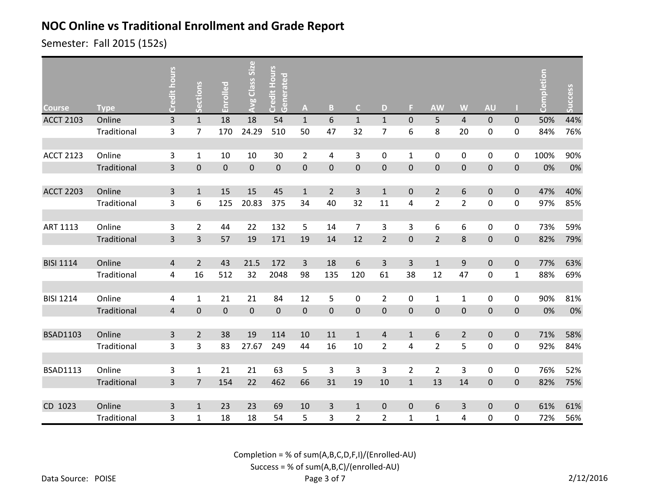Semester: Fall 2015 (152s)

| <b>Course</b>    | <b>Type</b> | Credit hours   | Sections       | Enrolled         | <b>Avg Class Size</b> | Credit Hours<br>Generated | $\boldsymbol{\mathsf{A}}$ | $\mathbf{B}$     | $\mathsf{C}$     | D                | F.               | <b>AW</b>        | W              | <b>AU</b>      |                  | Completion | Success |
|------------------|-------------|----------------|----------------|------------------|-----------------------|---------------------------|---------------------------|------------------|------------------|------------------|------------------|------------------|----------------|----------------|------------------|------------|---------|
| <b>ACCT 2103</b> | Online      | $\overline{3}$ | $\mathbf 1$    | 18               | 18                    | 54                        | $\mathbf{1}$              | 6                | $\mathbf{1}$     | $\mathbf{1}$     | $\pmb{0}$        | 5                | $\overline{4}$ | $\mathbf 0$    | $\mathbf 0$      | 50%        | 44%     |
|                  | Traditional | 3              | $\overline{7}$ | 170              | 24.29                 | 510                       | 50                        | 47               | 32               | 7                | 6                | 8                | 20             | $\mathbf 0$    | $\mathbf 0$      | 84%        | 76%     |
|                  |             |                |                |                  |                       |                           |                           |                  |                  |                  |                  |                  |                |                |                  |            |         |
| <b>ACCT 2123</b> | Online      | 3              | $\mathbf{1}$   | 10               | 10                    | 30                        | $\overline{2}$            | 4                | 3                | 0                | $\mathbf{1}$     | $\boldsymbol{0}$ | 0              | $\pmb{0}$      | $\mathbf 0$      | 100%       | 90%     |
|                  | Traditional | $\overline{3}$ | $\pmb{0}$      | $\boldsymbol{0}$ | $\pmb{0}$             | $\pmb{0}$                 | $\pmb{0}$                 | $\boldsymbol{0}$ | $\boldsymbol{0}$ | $\boldsymbol{0}$ | $\boldsymbol{0}$ | $\pmb{0}$        | $\pmb{0}$      | $\pmb{0}$      | $\boldsymbol{0}$ | 0%         | 0%      |
|                  |             |                |                |                  |                       |                           |                           |                  |                  |                  |                  |                  |                |                |                  |            |         |
| <b>ACCT 2203</b> | Online      | $\overline{3}$ | $\mathbf{1}$   | 15               | 15                    | 45                        | $\mathbf{1}$              | $\overline{2}$   | 3                | $\mathbf{1}$     | $\mathbf 0$      | $\overline{2}$   | 6              | $\pmb{0}$      | $\mathbf 0$      | 47%        | 40%     |
|                  | Traditional | 3              | 6              | 125              | 20.83                 | 375                       | 34                        | 40               | 32               | 11               | 4                | $\overline{2}$   | $\overline{2}$ | $\mathbf 0$    | $\pmb{0}$        | 97%        | 85%     |
|                  |             |                |                |                  |                       |                           |                           |                  |                  |                  |                  |                  |                |                |                  |            |         |
| ART 1113         | Online      | 3              | $\overline{2}$ | 44               | 22                    | 132                       | 5                         | 14               | $\overline{7}$   | 3                | 3                | 6                | 6              | $\mathbf 0$    | 0                | 73%        | 59%     |
|                  | Traditional | $\overline{3}$ | 3              | 57               | 19                    | 171                       | 19                        | 14               | 12               | $\overline{2}$   | $\mathbf 0$      | $\overline{2}$   | 8              | $\overline{0}$ | $\mathbf 0$      | 82%        | 79%     |
|                  |             |                |                |                  |                       |                           |                           |                  |                  |                  |                  |                  |                |                |                  |            |         |
| <b>BISI 1114</b> | Online      | $\overline{4}$ | $2^{\circ}$    | 43               | 21.5                  | 172                       | $\overline{3}$            | 18               | 6                | 3                | 3                | $\mathbf{1}$     | $9\,$          | $\mathbf 0$    | $\mathbf 0$      | 77%        | 63%     |
|                  | Traditional | 4              | 16             | 512              | 32                    | 2048                      | 98                        | 135              | 120              | 61               | 38               | 12               | 47             | $\pmb{0}$      | $\mathbf{1}$     | 88%        | 69%     |
|                  |             |                |                |                  |                       |                           |                           |                  |                  |                  |                  |                  |                |                |                  |            |         |
| <b>BISI 1214</b> | Online      | 4              | $\mathbf{1}$   | 21               | 21                    | 84                        | 12                        | 5                | $\boldsymbol{0}$ | $\overline{2}$   | 0                | $\mathbf{1}$     | $\mathbf 1$    | $\mathbf 0$    | $\pmb{0}$        | 90%        | 81%     |
|                  | Traditional | $\sqrt{4}$     | $\pmb{0}$      | $\pmb{0}$        | $\mathbf 0$           | $\pmb{0}$                 | $\pmb{0}$                 | $\pmb{0}$        | $\boldsymbol{0}$ | $\pmb{0}$        | $\boldsymbol{0}$ | $\pmb{0}$        | $\pmb{0}$      | $\pmb{0}$      | $\pmb{0}$        | 0%         | $0\%$   |
|                  |             |                |                |                  |                       |                           |                           |                  |                  |                  |                  |                  |                |                |                  |            |         |
| <b>BSAD1103</b>  | Online      | $\overline{3}$ | $\overline{2}$ | 38               | 19                    | 114                       | 10                        | 11               | $1\,$            | 4                | $\mathbf{1}$     | $\boldsymbol{6}$ | $\overline{2}$ | $\mathbf 0$    | $\mathbf 0$      | 71%        | 58%     |
|                  | Traditional | $\overline{3}$ | 3              | 83               | 27.67                 | 249                       | 44                        | 16               | 10               | $\overline{2}$   | 4                | $\overline{2}$   | 5              | $\mathbf 0$    | $\mathbf 0$      | 92%        | 84%     |
|                  |             |                |                |                  |                       |                           |                           |                  |                  |                  |                  |                  |                |                |                  |            |         |
| <b>BSAD1113</b>  | Online      | 3              | $\mathbf{1}$   | 21               | 21                    | 63                        | 5                         | 3                | 3                | 3                | $\overline{2}$   | $\overline{2}$   | 3              | $\pmb{0}$      | 0                | 76%        | 52%     |
|                  | Traditional | 3              | $\overline{7}$ | 154              | 22                    | 462                       | 66                        | 31               | 19               | 10               | $\mathbf{1}$     | 13               | 14             | $\mathbf{0}$   | $\mathbf 0$      | 82%        | 75%     |
|                  |             |                |                |                  |                       |                           |                           |                  |                  |                  |                  |                  |                |                |                  |            |         |
| CD 1023          | Online      | $\mathbf{3}$   | $\mathbf{1}$   | 23               | 23                    | 69                        | 10                        | $\overline{3}$   | $\mathbf{1}$     | $\mathbf{0}$     | $\pmb{0}$        | 6                | 3              | $\mathbf{0}$   | $\mathbf 0$      | 61%        | 61%     |
|                  | Traditional | 3              | $\mathbf 1$    | 18               | 18                    | 54                        | 5                         | 3                | 2                | $\overline{2}$   | $\mathbf{1}$     | $\mathbf 1$      | 4              | 0              | 0                | 72%        | 56%     |

Completion = % of sum(A,B,C,D,F,I)/(Enrolled-AU)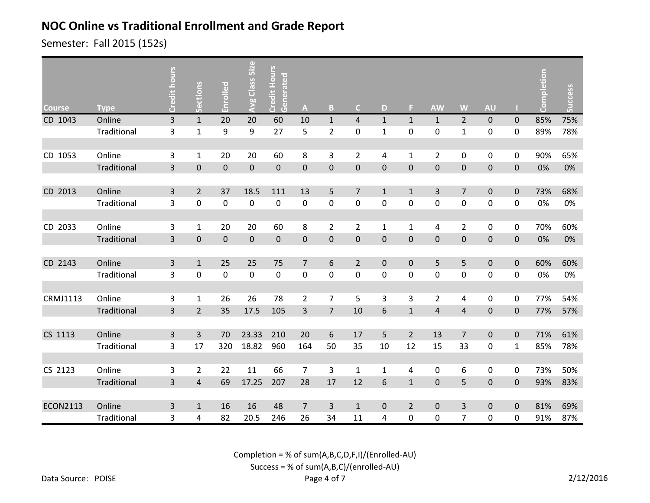Semester: Fall 2015 (152s)

| <b>Course</b>   | <b>Type</b> | Credit hours            | Sections       | Enrolled    | <b>Avg Class Size</b> | Credit Hours<br>Generated | $\mathbf{A}$   | $\overline{B}$   | $\mathsf{C}$     | D              | F.               | <b>AW</b>        | W               | <b>AU</b>   |              | Completion | Success |
|-----------------|-------------|-------------------------|----------------|-------------|-----------------------|---------------------------|----------------|------------------|------------------|----------------|------------------|------------------|-----------------|-------------|--------------|------------|---------|
| CD 1043         | Online      | $\overline{3}$          | $\mathbf 1$    | 20          | 20                    | 60                        | 10             | $\mathbf{1}$     | $\overline{4}$   | $\mathbf{1}$   | $\mathbf{1}$     | $\mathbf{1}$     | $\overline{2}$  | $\pmb{0}$   | $\mathbf 0$  | 85%        | 75%     |
|                 | Traditional | 3                       | $\mathbf 1$    | 9           | 9                     | 27                        | 5              | $\overline{2}$   | $\mathbf 0$      | $\mathbf{1}$   | $\mathbf 0$      | $\boldsymbol{0}$ | $\mathbf 1$     | 0           | $\mathbf 0$  | 89%        | 78%     |
|                 |             |                         |                |             |                       |                           |                |                  |                  |                |                  |                  |                 |             |              |            |         |
| CD 1053         | Online      | 3                       | $\mathbf{1}$   | 20          | 20                    | 60                        | 8              | 3                | $\overline{2}$   | 4              | $\mathbf{1}$     | $\overline{2}$   | $\mathbf 0$     | $\mathbf 0$ | $\mathbf 0$  | 90%        | 65%     |
|                 | Traditional | $\overline{3}$          | $\mathbf 0$    | $\pmb{0}$   | $\pmb{0}$             | $\pmb{0}$                 | $\pmb{0}$      | $\boldsymbol{0}$ | $\boldsymbol{0}$ | $\mathbf{0}$   | $\boldsymbol{0}$ | $\boldsymbol{0}$ | $\pmb{0}$       | $\pmb{0}$   | $\mathbf 0$  | 0%         | 0%      |
|                 |             |                         |                |             |                       |                           |                |                  |                  |                |                  |                  |                 |             |              |            |         |
| CD 2013         | Online      | 3                       | $\overline{2}$ | 37          | 18.5                  | 111                       | 13             | 5                | $\overline{7}$   | $\mathbf{1}$   | $\mathbf{1}$     | 3                | $\overline{7}$  | $\pmb{0}$   | $\pmb{0}$    | 73%        | 68%     |
|                 | Traditional | 3                       | 0              | $\mathbf 0$ | $\pmb{0}$             | $\mathbf 0$               | $\pmb{0}$      | $\pmb{0}$        | $\boldsymbol{0}$ | $\pmb{0}$      | 0                | $\pmb{0}$        | $\pmb{0}$       | $\mathbf 0$ | $\mathbf 0$  | 0%         | 0%      |
|                 |             |                         |                |             |                       |                           |                |                  |                  |                |                  |                  |                 |             |              |            |         |
| CD 2033         | Online      | 3                       | $\mathbf{1}$   | 20          | 20                    | 60                        | 8              | $\overline{2}$   | $\overline{2}$   | $\mathbf{1}$   | $\mathbf{1}$     | 4                | $\overline{2}$  | 0           | $\mathbf{0}$ | 70%        | 60%     |
|                 | Traditional | $\overline{3}$          | $\overline{0}$ | $\mathbf 0$ | $\mathbf 0$           | $\mathbf 0$               | $\mathbf 0$    | $\mathbf 0$      | $\mathbf 0$      | $\mathbf 0$    | $\mathbf 0$      | $\mathbf 0$      | $\pmb{0}$       | $\mathbf 0$ | $\mathbf 0$  | 0%         | 0%      |
|                 |             |                         |                |             |                       |                           |                |                  |                  |                |                  |                  |                 |             |              |            |         |
| CD 2143         | Online      | 3                       | $\mathbf{1}$   | 25          | 25                    | 75                        | $\overline{7}$ | 6                | $\overline{2}$   | $\mathbf{0}$   | $\pmb{0}$        | 5                | 5               | $\mathbf 0$ | $\mathbf 0$  | 60%        | 60%     |
|                 | Traditional | 3                       | $\pmb{0}$      | $\pmb{0}$   | $\pmb{0}$             | $\pmb{0}$                 | $\pmb{0}$      | $\pmb{0}$        | $\pmb{0}$        | $\pmb{0}$      | 0                | $\boldsymbol{0}$ | $\pmb{0}$       | $\pmb{0}$   | $\mathbf 0$  | 0%         | 0%      |
|                 |             |                         |                |             |                       |                           |                |                  |                  |                |                  |                  |                 |             |              |            |         |
| CRMJ1113        | Online      | 3                       | $\mathbf{1}$   | 26          | 26                    | 78                        | $\overline{2}$ | $\overline{7}$   | 5                | 3              | 3                | $\overline{2}$   | 4               | $\pmb{0}$   | $\mathbf 0$  | 77%        | 54%     |
|                 | Traditional | $\overline{\mathbf{3}}$ | $\overline{2}$ | 35          | 17.5                  | 105                       | 3              | $\overline{7}$   | 10               | $6\phantom{.}$ | $\mathbf{1}$     | $\sqrt{4}$       | $\sqrt{4}$      | $\pmb{0}$   | $\pmb{0}$    | 77%        | 57%     |
|                 |             |                         |                |             |                       |                           |                |                  |                  |                |                  |                  |                 |             |              |            |         |
| CS 1113         | Online      | 3                       | 3              | 70          | 23.33                 | 210                       | 20             | $6\,$            | 17               | 5              | $\overline{2}$   | 13               | $7\overline{ }$ | 0           | $\mathbf{0}$ | 71%        | 61%     |
|                 | Traditional | 3                       | 17             | 320         | 18.82                 | 960                       | 164            | 50               | 35               | 10             | 12               | 15               | 33              | 0           | $1\,$        | 85%        | 78%     |
|                 |             |                         |                |             |                       |                           |                |                  |                  |                |                  |                  |                 |             |              |            |         |
| CS 2123         | Online      | 3                       | $\overline{2}$ | 22          | 11                    | 66                        | $\overline{7}$ | 3                | $\mathbf{1}$     | 1              | 4                | 0                | 6               | 0           | 0            | 73%        | 50%     |
|                 | Traditional | 3                       | $\overline{4}$ | 69          | 17.25                 | 207                       | 28             | 17               | 12               | 6              | $\mathbf{1}$     | $\pmb{0}$        | 5               | 0           | $\mathbf 0$  | 93%        | 83%     |
|                 |             |                         |                |             |                       |                           |                |                  |                  |                |                  |                  |                 |             |              |            |         |
| <b>ECON2113</b> | Online      | $\overline{3}$          | $\mathbf{1}$   | 16          | 16                    | 48                        | $\overline{7}$ | $\overline{3}$   | $\mathbf{1}$     | $\mathbf{0}$   | $\overline{2}$   | $\pmb{0}$        | $\overline{3}$  | $\pmb{0}$   | $\mathbf 0$  | 81%        | 69%     |
|                 | Traditional | 3                       | 4              | 82          | 20.5                  | 246                       | 26             | 34               | 11               | 4              | 0                | 0                | $\overline{7}$  | 0           | 0            | 91%        | 87%     |

Completion = % of sum(A,B,C,D,F,I)/(Enrolled-AU)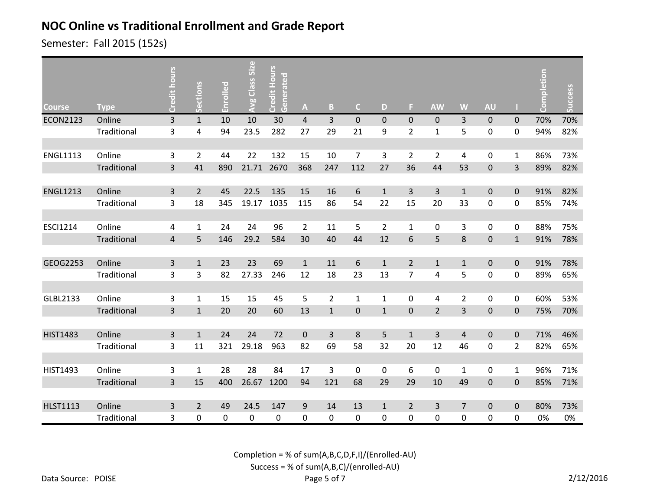Semester: Fall 2015 (152s)

| <b>Course</b>   | <b>Type</b> | Credit hours            | Sections       | Enrolled | Avg Class Size | Credit Hours<br>Generated | $\mathbf{A}$     | $\, {\bf B}$            | $\mathsf{C}$   | D              | F.             | <b>AW</b>      | W              | <b>AU</b>        |                | Completion | Success |
|-----------------|-------------|-------------------------|----------------|----------|----------------|---------------------------|------------------|-------------------------|----------------|----------------|----------------|----------------|----------------|------------------|----------------|------------|---------|
| <b>ECON2123</b> | Online      | $\overline{3}$          | $\mathbf{1}$   | 10       | 10             | 30                        | $\overline{4}$   | $\overline{3}$          | $\pmb{0}$      | $\overline{0}$ | $\mathbf 0$    | $\mathbf{0}$   | 3              | $\mathbf{0}$     | $\mathbf{0}$   | 70%        | 70%     |
|                 | Traditional | $\overline{\mathbf{3}}$ | 4              | 94       | 23.5           | 282                       | 27               | 29                      | 21             | 9              | $\overline{2}$ | $\mathbf{1}$   | 5              | 0                | $\mathbf 0$    | 94%        | 82%     |
|                 |             |                         |                |          |                |                           |                  |                         |                |                |                |                |                |                  |                |            |         |
| <b>ENGL1113</b> | Online      | 3                       | $\overline{2}$ | 44       | 22             | 132                       | 15               | 10                      | $\overline{7}$ | 3              | $\overline{2}$ | $\overline{2}$ | 4              | 0                | $\mathbf{1}$   | 86%        | 73%     |
|                 | Traditional | $\overline{3}$          | 41             | 890      | 21.71          | 2670                      | 368              | 247                     | 112            | 27             | 36             | 44             | 53             | $\overline{0}$   | $\overline{3}$ | 89%        | 82%     |
|                 |             |                         |                |          |                |                           |                  |                         |                |                |                |                |                |                  |                |            |         |
| <b>ENGL1213</b> | Online      | $\overline{3}$          | $\overline{2}$ | 45       | 22.5           | 135                       | 15               | 16                      | 6              | $\mathbf{1}$   | 3              | $\overline{3}$ | $\mathbf{1}$   | $\overline{0}$   | $\mathbf 0$    | 91%        | 82%     |
|                 | Traditional | 3                       | 18             | 345      | 19.17          | 1035                      | 115              | 86                      | 54             | 22             | 15             | 20             | 33             | 0                | 0              | 85%        | 74%     |
|                 |             |                         |                |          |                |                           |                  |                         |                |                |                |                |                |                  |                |            |         |
| <b>ESCI1214</b> | Online      | 4                       | $\mathbf{1}$   | 24       | 24             | 96                        | $\overline{2}$   | 11                      | 5              | $\overline{2}$ | $\mathbf{1}$   | 0              | 3              | $\mathbf 0$      | $\Omega$       | 88%        | 75%     |
|                 | Traditional | $\overline{4}$          | 5              | 146      | 29.2           | 584                       | 30               | 40                      | 44             | 12             | 6              | 5              | 8              | $\mathbf 0$      | $\mathbf{1}$   | 91%        | 78%     |
|                 |             |                         |                |          |                |                           |                  |                         |                |                |                |                |                |                  |                |            |         |
| GEOG2253        | Online      | 3                       | $\mathbf{1}$   | 23       | 23             | 69                        | $\mathbf{1}$     | 11                      | 6              | $\mathbf{1}$   | $\overline{2}$ | $\mathbf 1$    | $\mathbf 1$    | $\pmb{0}$        | $\mathbf 0$    | 91%        | 78%     |
|                 | Traditional | 3                       | 3              | 82       | 27.33          | 246                       | 12               | 18                      | 23             | 13             | $\overline{7}$ | $\sqrt{4}$     | 5              | $\pmb{0}$        | $\mathbf 0$    | 89%        | 65%     |
|                 |             |                         |                |          |                |                           |                  |                         |                |                |                |                |                |                  |                |            |         |
| GLBL2133        | Online      | 3                       | $\mathbf{1}$   | 15       | 15             | 45                        | 5                | $\overline{2}$          | $\mathbf{1}$   | 1              | 0              | 4              | $\overline{2}$ | $\mathbf 0$      | $\mathbf 0$    | 60%        | 53%     |
|                 | Traditional | $\overline{\mathbf{3}}$ | $\mathbf{1}$   | 20       | 20             | 60                        | 13               | $\mathbf 1$             | $\pmb{0}$      | $1\,$          | $\pmb{0}$      | $\overline{2}$ | $\overline{3}$ | 0                | $\pmb{0}$      | 75%        | 70%     |
|                 |             |                         |                |          |                |                           |                  |                         |                |                |                |                |                |                  |                |            |         |
| <b>HIST1483</b> | Online      | $\overline{3}$          | $1\,$          | 24       | 24             | 72                        | $\pmb{0}$        | $\overline{\mathbf{3}}$ | $\,8\,$        | 5              | $\mathbf{1}$   | $\overline{3}$ | $\sqrt{4}$     | $\boldsymbol{0}$ | $\mathbf 0$    | 71%        | 46%     |
|                 | Traditional | 3                       | 11             | 321      | 29.18          | 963                       | 82               | 69                      | 58             | 32             | 20             | 12             | 46             | 0                | $\overline{2}$ | 82%        | 65%     |
|                 |             |                         |                |          |                |                           |                  |                         |                |                |                |                |                |                  |                |            |         |
| HIST1493        | Online      | 3                       | $\mathbf{1}$   | 28       | 28             | 84                        | 17               | 3                       | $\mathbf 0$    | 0              | 6              | 0              | $\mathbf{1}$   | 0                | 1              | 96%        | 71%     |
|                 | Traditional | $\overline{3}$          | 15             | 400      | 26.67          | 1200                      | 94               | 121                     | 68             | 29             | 29             | 10             | 49             | $\mathbf 0$      | $\mathbf 0$    | 85%        | 71%     |
|                 |             |                         |                |          |                |                           |                  |                         |                |                |                |                |                |                  |                |            |         |
| <b>HLST1113</b> | Online      | 3                       | $\overline{2}$ | 49       | 24.5           | 147                       | $\boldsymbol{9}$ | 14                      | 13             | $\mathbf{1}$   | $\overline{2}$ | $\overline{3}$ | $\overline{7}$ | $\overline{0}$   | $\pmb{0}$      | 80%        | 73%     |
|                 | Traditional | 3                       | 0              | 0        | 0              | 0                         | $\pmb{0}$        | $\boldsymbol{0}$        | 0              | 0              | 0              | $\mathbf 0$    | 0              | 0                | 0              | 0%         | 0%      |

Completion = % of sum(A,B,C,D,F,I)/(Enrolled-AU)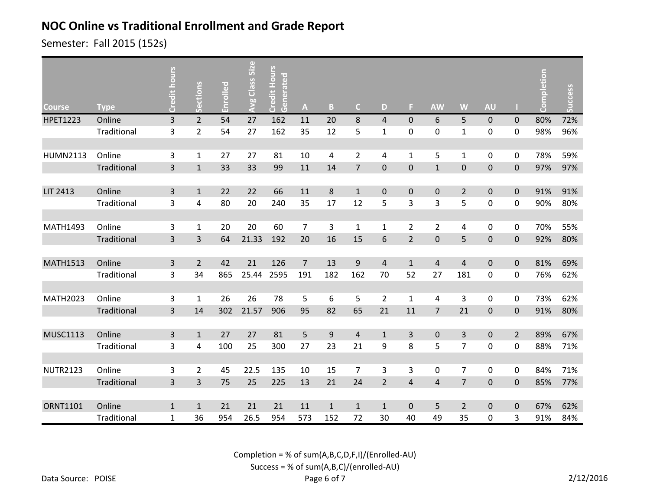Semester: Fall 2015 (152s)

| <b>Course</b>   | <b>Type</b> | Credit hours            | Sections       | Enrolled | Avg Class Size | Credit Hours<br>Generated | $\boldsymbol{\mathsf{A}}$ | $\, {\bf B}$   | $\mathsf{C}$   | D              | F                | <b>AW</b>      | W              | <b>AU</b>      |                | Completion | Success |
|-----------------|-------------|-------------------------|----------------|----------|----------------|---------------------------|---------------------------|----------------|----------------|----------------|------------------|----------------|----------------|----------------|----------------|------------|---------|
| <b>HPET1223</b> | Online      | $\overline{\mathbf{3}}$ | $\overline{2}$ | 54       | 27             | 162                       | 11                        | 20             | $\bf 8$        | $\overline{4}$ | $\mathbf 0$      | 6              | 5              | $\mathbf 0$    | $\mathbf{0}$   | 80%        | 72%     |
|                 | Traditional | $\overline{\mathbf{3}}$ | $\overline{2}$ | 54       | 27             | 162                       | 35                        | 12             | 5              | 1              | 0                | $\mathbf 0$    | $\mathbf{1}$   | 0              | $\mathbf 0$    | 98%        | 96%     |
|                 |             |                         |                |          |                |                           |                           |                |                |                |                  |                |                |                |                |            |         |
| <b>HUMN2113</b> | Online      | 3                       | $\mathbf{1}$   | 27       | 27             | 81                        | 10                        | $\overline{a}$ | $\overline{2}$ | 4              | 1                | 5              | $\mathbf{1}$   | $\pmb{0}$      | 0              | 78%        | 59%     |
|                 | Traditional | $\overline{3}$          | $\mathbf{1}$   | 33       | 33             | 99                        | $11\,$                    | 14             | $\overline{7}$ | $\mathbf 0$    | $\mathbf 0$      | $\mathbf{1}$   | $\pmb{0}$      | $\mathbf 0$    | $\mathbf 0$    | 97%        | 97%     |
|                 |             |                         |                |          |                |                           |                           |                |                |                |                  |                |                |                |                |            |         |
| LIT 2413        | Online      | $\overline{3}$          | $\mathbf{1}$   | 22       | 22             | 66                        | 11                        | $\bf 8$        | $\mathbf{1}$   | $\mathbf 0$    | $\boldsymbol{0}$ | $\mathbf 0$    | $\overline{2}$ | $\mathbf 0$    | $\mathbf 0$    | 91%        | 91%     |
|                 | Traditional | 3                       | 4              | 80       | 20             | 240                       | 35                        | 17             | 12             | 5              | 3                | 3              | 5              | $\pmb{0}$      | 0              | 90%        | 80%     |
|                 |             |                         |                |          |                |                           |                           |                |                |                |                  |                |                |                |                |            |         |
| <b>MATH1493</b> | Online      | 3                       | $\mathbf{1}$   | 20       | 20             | 60                        | 7                         | 3              | $\mathbf{1}$   | $\mathbf{1}$   | $\overline{2}$   | $\overline{2}$ | 4              | 0              | 0              | 70%        | 55%     |
|                 | Traditional | $\overline{3}$          | $\overline{3}$ | 64       | 21.33          | 192                       | 20                        | 16             | 15             | 6              | $\overline{2}$   | $\mathbf 0$    | 5              | $\mathbf 0$    | $\mathbf{0}$   | 92%        | 80%     |
|                 |             |                         |                |          |                |                           |                           |                |                |                |                  |                |                |                |                |            |         |
| <b>MATH1513</b> | Online      | $\overline{3}$          | $\overline{2}$ | 42       | 21             | 126                       | $\overline{7}$            | 13             | $\overline{9}$ | $\overline{4}$ | $\mathbf{1}$     | $\overline{4}$ | $\overline{4}$ | $\overline{0}$ | $\mathbf 0$    | 81%        | 69%     |
|                 | Traditional | 3                       | 34             | 865      | 25.44          | 2595                      | 191                       | 182            | 162            | 70             | 52               | 27             | 181            | $\pmb{0}$      | $\mathbf 0$    | 76%        | 62%     |
|                 |             |                         |                |          |                |                           |                           |                |                |                |                  |                |                |                |                |            |         |
| <b>MATH2023</b> | Online      | 3                       | $\mathbf{1}$   | 26       | 26             | 78                        | 5                         | 6              | 5              | $\overline{2}$ | $\mathbf{1}$     | 4              | $\overline{3}$ | $\pmb{0}$      | 0              | 73%        | 62%     |
|                 | Traditional | $\overline{3}$          | 14             | 302      | 21.57          | 906                       | 95                        | 82             | 65             | 21             | 11               | $\overline{7}$ | 21             | 0              | $\mathbf 0$    | 91%        | 80%     |
|                 |             |                         |                |          |                |                           |                           |                |                |                |                  |                |                |                |                |            |         |
| <b>MUSC1113</b> | Online      | $\overline{3}$          | $\mathbf{1}$   | 27       | 27             | 81                        | 5                         | 9              | $\overline{4}$ | $\mathbf{1}$   | 3                | $\mathbf{0}$   | $\overline{3}$ | $\mathbf 0$    | $\overline{2}$ | 89%        | 67%     |
|                 | Traditional | $\overline{3}$          | 4              | 100      | 25             | 300                       | 27                        | 23             | 21             | 9              | 8                | 5              | $\overline{7}$ | 0              | $\mathbf 0$    | 88%        | 71%     |
|                 |             |                         |                |          |                |                           |                           |                |                |                |                  |                |                |                |                |            |         |
| <b>NUTR2123</b> | Online      | $\mathsf 3$             | $\overline{2}$ | 45       | 22.5           | 135                       | 10                        | 15             | $\overline{7}$ | 3              | 3                | 0              | $\overline{7}$ | $\mathbf 0$    | 0              | 84%        | 71%     |
|                 | Traditional | $\overline{3}$          | 3              | 75       | 25             | 225                       | 13                        | 21             | 24             | $\overline{2}$ | $\overline{4}$   | $\sqrt{4}$     | $\overline{7}$ | $\pmb{0}$      | $\mathbf 0$    | 85%        | 77%     |
|                 |             |                         |                |          |                |                           |                           |                |                |                |                  |                |                |                |                |            |         |
| <b>ORNT1101</b> | Online      | $\mathbf 1$             | $\mathbf{1}$   | 21       | 21             | 21                        | 11                        | $\mathbf{1}$   | $\mathbf{1}$   | $\mathbf{1}$   | $\mathbf 0$      | 5              | $\overline{2}$ | $\mathbf 0$    | $\mathbf 0$    | 67%        | 62%     |
|                 | Traditional | $\mathbf 1$             | 36             | 954      | 26.5           | 954                       | 573                       | 152            | 72             | 30             | 40               | 49             | 35             | 0              | 3              | 91%        | 84%     |

Completion = % of sum(A,B,C,D,F,I)/(Enrolled-AU)